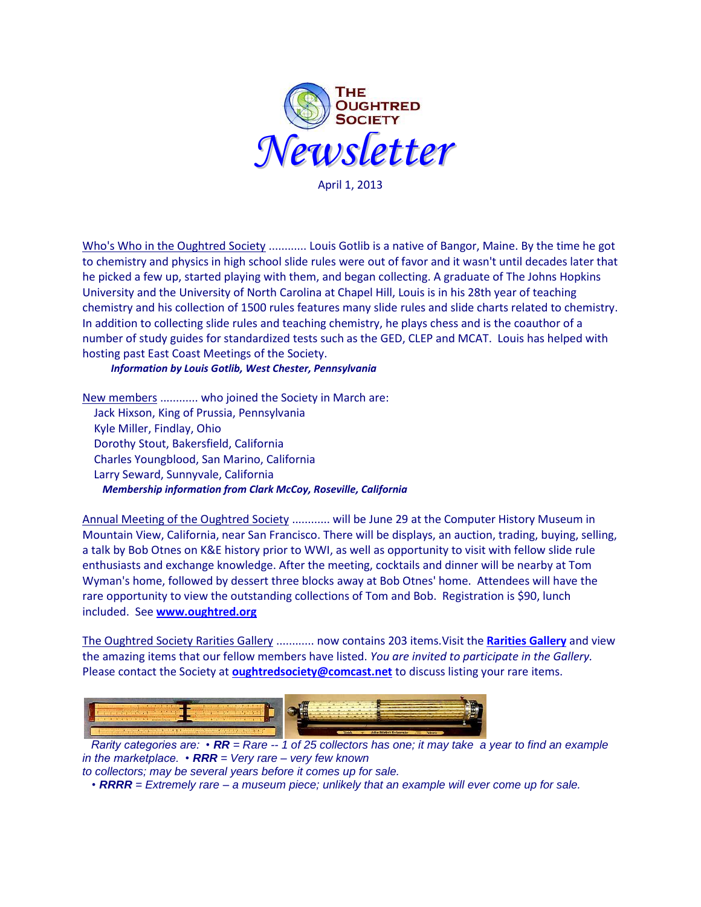

April 1, 2013

Who's Who in the Oughtred Society ............ Louis Gotlib is a native of Bangor, Maine. By the time he got to chemistry and physics in high school slide rules were out of favor and it wasn't until decades later that he picked a few up, started playing with them, and began collecting. A graduate of The Johns Hopkins University and the University of North Carolina at Chapel Hill, Louis is in his 28th year of teaching chemistry and his collection of 1500 rules features many slide rules and slide charts related to chemistry. In addition to collecting slide rules and teaching chemistry, he plays chess and is the coauthor of a number of study guides for standardized tests such as the GED, CLEP and MCAT. Louis has helped with hosting past East Coast Meetings of the Society.

*Information by Louis Gotlib, West Chester, Pennsylvania*

New members ............ who joined the Society in March are: Jack Hixson, King of Prussia, Pennsylvania Kyle Miller, Findlay, Ohio Dorothy Stout, Bakersfield, California Charles Youngblood, San Marino, California Larry Seward, Sunnyvale, California *Membership information from Clark McCoy, Roseville, California*

Annual Meeting of the Oughtred Society ............ will be June 29 at the Computer History Museum in Mountain View, California, near San Francisco. There will be displays, an auction, trading, buying, selling, a talk by Bob Otnes on K&E history prior to WWI, as well as opportunity to visit with fellow slide rule enthusiasts and exchange knowledge. After the meeting, cocktails and dinner will be nearby at Tom Wyman's home, followed by dessert three blocks away at Bob Otnes' home. Attendees will have the rare opportunity to view the outstanding collections of Tom and Bob. Registration is \$90, lunch included. See **[www.oughtred.org](http://www.oughtred.org/)**

The Oughtred Society Rarities Gallery ............ now contains 203 items.Visit the **[Rarities Gallery](http://osgalleries.org/os/completegallery.cgi)** and view the amazing items that our fellow members have listed. *You are invited to participate in the Gallery.* Please contact the Society at **[oughtredsociety@comcast.net](mailto:oughtredsociety@comcast.net)** to discuss listing your rare items.



 *Rarity categories are: • RR = Rare -- 1 of 25 collectors has one; it may take a year to find an example in the marketplace. • RRR = Very rare – very few known*

*to collectors; may be several years before it comes up for sale.* 

 *• RRRR = Extremely rare – a museum piece; unlikely that an example will ever come up for sale.*